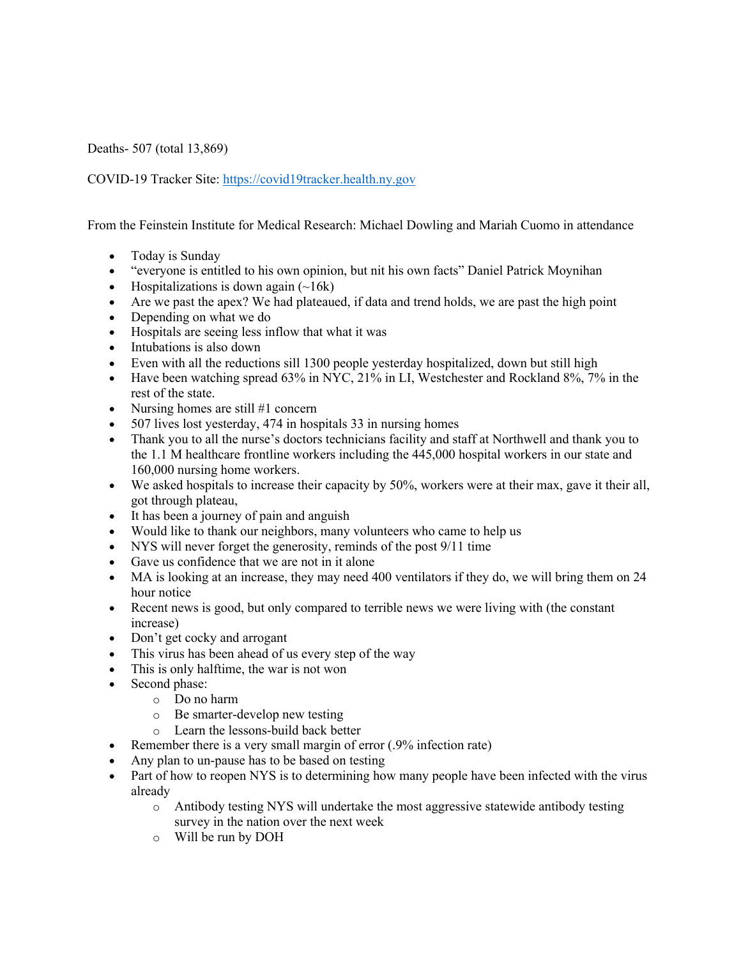Deaths- 507 (total 13,869)

COVID-19 Tracker Site: https://covid19tracker.health.ny.gov

From the Feinstein Institute for Medical Research: Michael Dowling and Mariah Cuomo in attendance

- Today is Sunday
- "everyone is entitled to his own opinion, but nit his own facts" Daniel Patrick Moynihan
- Hospitalizations is down again  $(\sim 16k)$
- Are we past the apex? We had plateaued, if data and trend holds, we are past the high point
- Depending on what we do
- Hospitals are seeing less inflow that what it was
- Intubations is also down
- Even with all the reductions sill 1300 people yesterday hospitalized, down but still high
- Have been watching spread 63% in NYC, 21% in LI, Westchester and Rockland 8%, 7% in the rest of the state.
- Nursing homes are still #1 concern
- 507 lives lost yesterday, 474 in hospitals 33 in nursing homes
- Thank you to all the nurse's doctors technicians facility and staff at Northwell and thank you to the 1.1 M healthcare frontline workers including the 445,000 hospital workers in our state and 160,000 nursing home workers.
- We asked hospitals to increase their capacity by 50%, workers were at their max, gave it their all, got through plateau,
- It has been a journey of pain and anguish
- Would like to thank our neighbors, many volunteers who came to help us
- NYS will never forget the generosity, reminds of the post 9/11 time
- Gave us confidence that we are not in it alone
- MA is looking at an increase, they may need 400 ventilators if they do, we will bring them on 24 hour notice
- Recent news is good, but only compared to terrible news we were living with (the constant increase)
- Don't get cocky and arrogant
- This virus has been ahead of us every step of the way
- This is only halftime, the war is not won
- Second phase:
	- o Do no harm
	- o Be smarter-develop new testing
	- o Learn the lessons-build back better
- Remember there is a very small margin of error (.9% infection rate)
- Any plan to un-pause has to be based on testing
- Part of how to reopen NYS is to determining how many people have been infected with the virus already
	- o Antibody testing NYS will undertake the most aggressive statewide antibody testing survey in the nation over the next week
	- o Will be run by DOH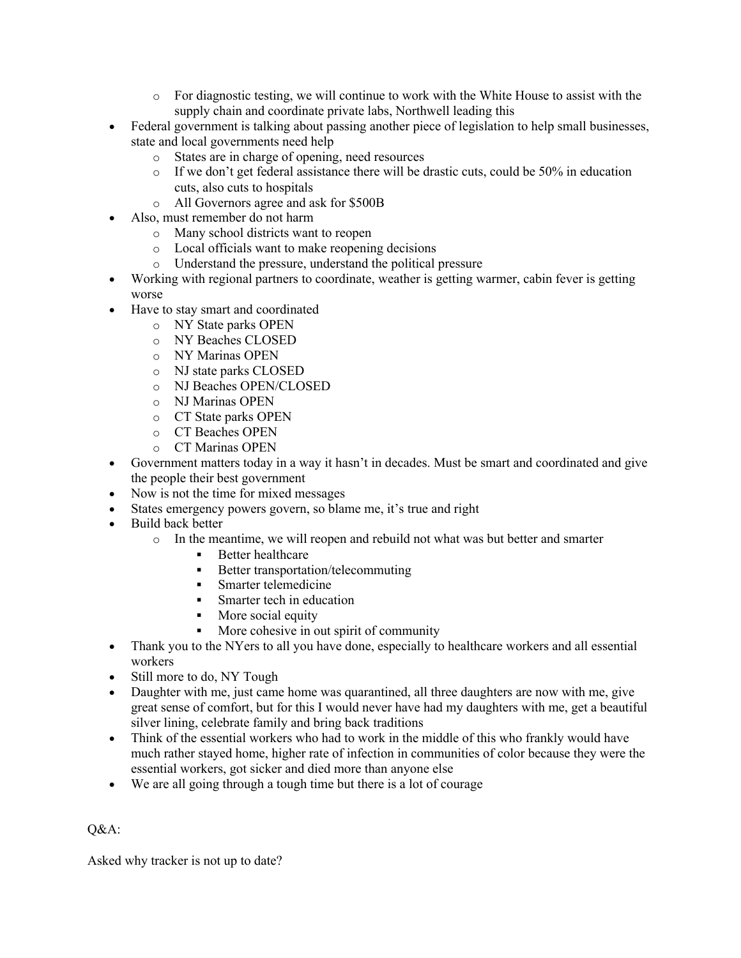- $\circ$  For diagnostic testing, we will continue to work with the White House to assist with the supply chain and coordinate private labs, Northwell leading this
- Federal government is talking about passing another piece of legislation to help small businesses, state and local governments need help
	- o States are in charge of opening, need resources
	- o If we don't get federal assistance there will be drastic cuts, could be 50% in education cuts, also cuts to hospitals
	- o All Governors agree and ask for \$500B
- Also, must remember do not harm
	- o Many school districts want to reopen
	- o Local officials want to make reopening decisions
	- o Understand the pressure, understand the political pressure
- Working with regional partners to coordinate, weather is getting warmer, cabin fever is getting worse
- Have to stay smart and coordinated
	- o NY State parks OPEN
	- o NY Beaches CLOSED
	- o NY Marinas OPEN
	- o NJ state parks CLOSED
	- o NJ Beaches OPEN/CLOSED
	- o NJ Marinas OPEN
	- o CT State parks OPEN
	- o CT Beaches OPEN
	- o CT Marinas OPEN
- Government matters today in a way it hasn't in decades. Must be smart and coordinated and give the people their best government
- Now is not the time for mixed messages
- States emergency powers govern, so blame me, it's true and right
- Build back better
	- o In the meantime, we will reopen and rebuild not what was but better and smarter
		- **•** Better healthcare
		- Better transportation/telecommuting
		- Smarter telemedicine
		- § Smarter tech in education
		- More social equity
		- § More cohesive in out spirit of community
- Thank you to the NYers to all you have done, especially to healthcare workers and all essential workers
- Still more to do, NY Tough
- Daughter with me, just came home was quarantined, all three daughters are now with me, give great sense of comfort, but for this I would never have had my daughters with me, get a beautiful silver lining, celebrate family and bring back traditions
- Think of the essential workers who had to work in the middle of this who frankly would have much rather stayed home, higher rate of infection in communities of color because they were the essential workers, got sicker and died more than anyone else
- We are all going through a tough time but there is a lot of courage

Q&A:

Asked why tracker is not up to date?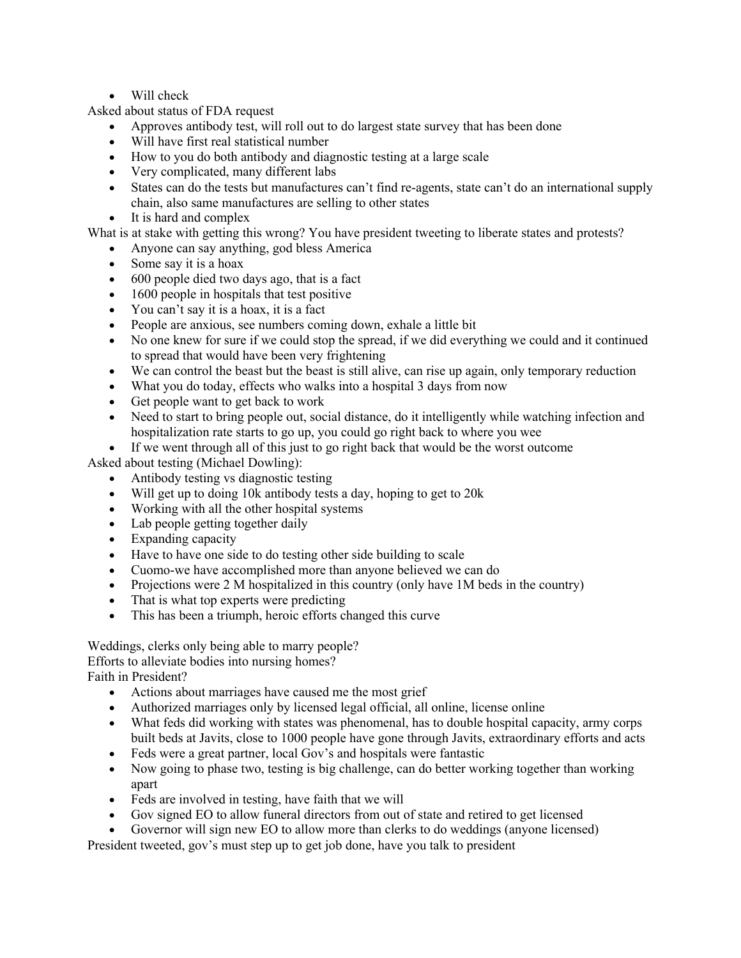## • Will check

Asked about status of FDA request

- Approves antibody test, will roll out to do largest state survey that has been done
- Will have first real statistical number
- How to you do both antibody and diagnostic testing at a large scale
- Very complicated, many different labs
- States can do the tests but manufactures can't find re-agents, state can't do an international supply chain, also same manufactures are selling to other states
- It is hard and complex

What is at stake with getting this wrong? You have president tweeting to liberate states and protests?

- Anyone can say anything, god bless America
- Some say it is a hoax
- 600 people died two days ago, that is a fact
- 1600 people in hospitals that test positive
- You can't say it is a hoax, it is a fact
- People are anxious, see numbers coming down, exhale a little bit
- No one knew for sure if we could stop the spread, if we did everything we could and it continued to spread that would have been very frightening
- We can control the beast but the beast is still alive, can rise up again, only temporary reduction
- What you do today, effects who walks into a hospital 3 days from now
- Get people want to get back to work
- Need to start to bring people out, social distance, do it intelligently while watching infection and hospitalization rate starts to go up, you could go right back to where you wee
- If we went through all of this just to go right back that would be the worst outcome

Asked about testing (Michael Dowling):

- Antibody testing vs diagnostic testing
- Will get up to doing 10k antibody tests a day, hoping to get to 20k
- Working with all the other hospital systems
- Lab people getting together daily
- Expanding capacity
- Have to have one side to do testing other side building to scale
- Cuomo-we have accomplished more than anyone believed we can do
- Projections were 2 M hospitalized in this country (only have 1M beds in the country)
- That is what top experts were predicting
- This has been a triumph, heroic efforts changed this curve

Weddings, clerks only being able to marry people? Efforts to alleviate bodies into nursing homes? Faith in President?

- Actions about marriages have caused me the most grief
- Authorized marriages only by licensed legal official, all online, license online
- What feds did working with states was phenomenal, has to double hospital capacity, army corps built beds at Javits, close to 1000 people have gone through Javits, extraordinary efforts and acts
- Feds were a great partner, local Gov's and hospitals were fantastic
- Now going to phase two, testing is big challenge, can do better working together than working apart
- Feds are involved in testing, have faith that we will
- Gov signed EO to allow funeral directors from out of state and retired to get licensed
- Governor will sign new EO to allow more than clerks to do weddings (anyone licensed)

President tweeted, gov's must step up to get job done, have you talk to president